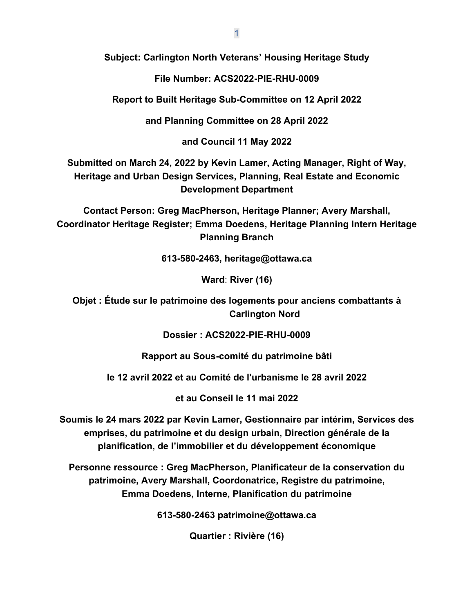**Subject: Carlington North Veterans' Housing Heritage Study**

**File Number: ACS2022-PIE-RHU-0009**

**Report to Built Heritage Sub-Committee on 12 April 2022**

**and Planning Committee on 28 April 2022**

**and Council 11 May 2022**

**Submitted on March 24, 2022 by Kevin Lamer, Acting Manager, Right of Way, Heritage and Urban Design Services, Planning, Real Estate and Economic Development Department**

**Contact Person: Greg MacPherson, Heritage Planner; Avery Marshall, Coordinator Heritage Register; Emma Doedens, Heritage Planning Intern Heritage Planning Branch**

**613-580-2463, heritage@ottawa.ca**

**Ward**: **River (16)**

**Objet : Étude sur le patrimoine des logements pour anciens combattants à Carlington Nord**

**Dossier : ACS2022-PIE-RHU-0009**

**Rapport au Sous-comité du patrimoine bâti**

**le 12 avril 2022 et au Comité de l'urbanisme le 28 avril 2022**

**et au Conseil le 11 mai 2022**

**Soumis le 24 mars 2022 par Kevin Lamer, Gestionnaire par intérim, Services des emprises, du patrimoine et du design urbain, Direction générale de la planification, de l'immobilier et du développement économique**

**Personne ressource : Greg MacPherson, Planificateur de la conservation du patrimoine, Avery Marshall, Coordonatrice, Registre du patrimoine, Emma Doedens, Interne, Planification du patrimoine**

**613-580-2463 patrimoine@ottawa.ca**

**Quartier : Rivière (16)**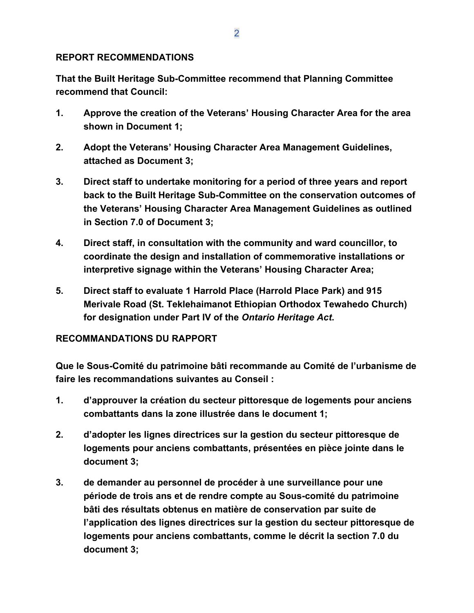#### **REPORT RECOMMENDATIONS**

**That the Built Heritage Sub-Committee recommend that Planning Committee recommend that Council:**

- **1. Approve the creation of the Veterans' Housing Character Area for the area shown in Document 1;**
- **2. Adopt the Veterans' Housing Character Area Management Guidelines, attached as Document 3;**
- **3. Direct staff to undertake monitoring for a period of three years and report back to the Built Heritage Sub-Committee on the conservation outcomes of the Veterans' Housing Character Area Management Guidelines as outlined in Section 7.0 of Document 3;**
- **4. Direct staff, in consultation with the community and ward councillor, to coordinate the design and installation of commemorative installations or interpretive signage within the Veterans' Housing Character Area;**
- **5. Direct staff to evaluate 1 Harrold Place (Harrold Place Park) and 915 Merivale Road (St. Teklehaimanot Ethiopian Orthodox Tewahedo Church) for designation under Part IV of the** *Ontario Heritage Act***.**

## **RECOMMANDATIONS DU RAPPORT**

**Que le Sous-Comité du patrimoine bâti recommande au Comité de l'urbanisme de faire les recommandations suivantes au Conseil :**

- **1. d'approuver la création du secteur pittoresque de logements pour anciens combattants dans la zone illustrée dans le document 1;**
- **2. d'adopter les lignes directrices sur la gestion du secteur pittoresque de logements pour anciens combattants, présentées en pièce jointe dans le document 3;**
- **3. de demander au personnel de procéder à une surveillance pour une période de trois ans et de rendre compte au Sous-comité du patrimoine bâti des résultats obtenus en matière de conservation par suite de l'application des lignes directrices sur la gestion du secteur pittoresque de logements pour anciens combattants, comme le décrit la section 7.0 du document 3;**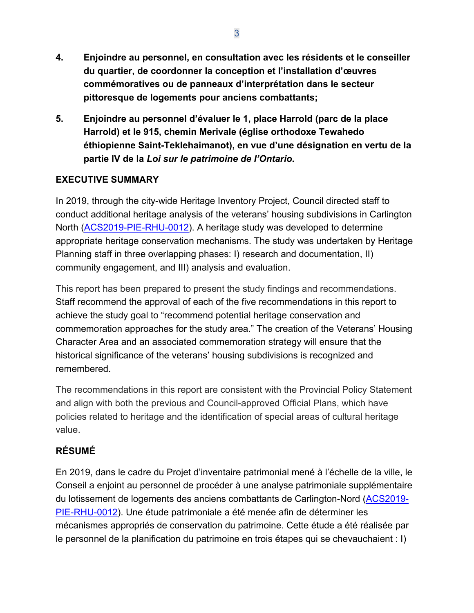- **4. Enjoindre au personnel, en consultation avec les résidents et le conseiller du quartier, de coordonner la conception et l'installation d'œuvres commémoratives ou de panneaux d'interprétation dans le secteur pittoresque de logements pour anciens combattants;**
- **5. Enjoindre au personnel d'évaluer le 1, place Harrold (parc de la place Harrold) et le 915, chemin Merivale (église orthodoxe Tewahedo éthiopienne Saint-Teklehaimanot), en vue d'une désignation en vertu de la partie IV de la** *Loi sur le patrimoine de l'Ontario.*

## **EXECUTIVE SUMMARY**

In 2019, through the city-wide Heritage Inventory Project, Council directed staff to conduct additional heritage analysis of the veterans' housing subdivisions in Carlington North [\(ACS2019-PIE-RHU-0012\)](https://app05.ottawa.ca/sirepub/mtgviewer.aspx?meetid=7557&doctype=minutes&itemid=388817). A heritage study was developed to determine appropriate heritage conservation mechanisms. The study was undertaken by Heritage Planning staff in three overlapping phases: I) research and documentation, II) community engagement, and III) analysis and evaluation.

This report has been prepared to present the study findings and recommendations. Staff recommend the approval of each of the five recommendations in this report to achieve the study goal to "recommend potential heritage conservation and commemoration approaches for the study area." The creation of the Veterans' Housing Character Area and an associated commemoration strategy will ensure that the historical significance of the veterans' housing subdivisions is recognized and remembered.

The recommendations in this report are consistent with the Provincial Policy Statement and align with both the previous and Council-approved Official Plans, which have policies related to heritage and the identification of special areas of cultural heritage value.

# **RÉSUMÉ**

En 2019, dans le cadre du Projet d'inventaire patrimonial mené à l'échelle de la ville, le Conseil a enjoint au personnel de procéder à une analyse patrimoniale supplémentaire du lotissement de logements des anciens combattants de Carlington-Nord [\(ACS2019-](https://app05.ottawa.ca/sirepub/mtgviewer.aspx?meetid=7557&doctype=minutes&itemid=388817) [PIE-RHU-0012\)](https://app05.ottawa.ca/sirepub/mtgviewer.aspx?meetid=7557&doctype=minutes&itemid=388817). Une étude patrimoniale a été menée afin de déterminer les mécanismes appropriés de conservation du patrimoine. Cette étude a été réalisée par le personnel de la planification du patrimoine en trois étapes qui se chevauchaient : I)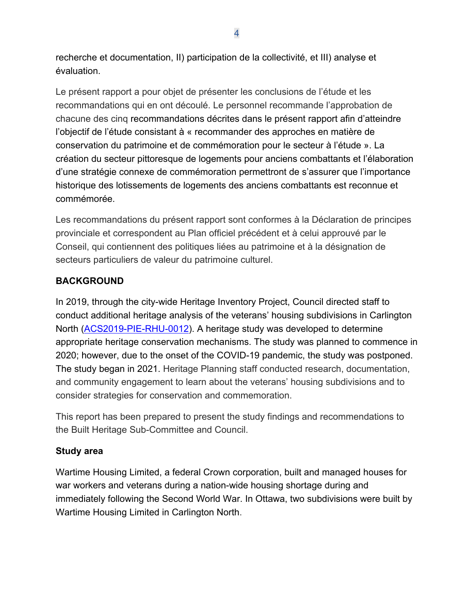recherche et documentation, II) participation de la collectivité, et III) analyse et évaluation.

Le présent rapport a pour objet de présenter les conclusions de l'étude et les recommandations qui en ont découlé. Le personnel recommande l'approbation de chacune des cinq recommandations décrites dans le présent rapport afin d'atteindre l'objectif de l'étude consistant à « recommander des approches en matière de conservation du patrimoine et de commémoration pour le secteur à l'étude ». La création du secteur pittoresque de logements pour anciens combattants et l'élaboration d'une stratégie connexe de commémoration permettront de s'assurer que l'importance historique des lotissements de logements des anciens combattants est reconnue et commémorée.

Les recommandations du présent rapport sont conformes à la Déclaration de principes provinciale et correspondent au Plan officiel précédent et à celui approuvé par le Conseil, qui contiennent des politiques liées au patrimoine et à la désignation de secteurs particuliers de valeur du patrimoine culturel.

# **BACKGROUND**

In 2019, through the city-wide Heritage Inventory Project, Council directed staff to conduct additional heritage analysis of the veterans' housing subdivisions in Carlington North [\(ACS2019-PIE-RHU-0012\)](https://app05.ottawa.ca/sirepub/mtgviewer.aspx?meetid=7557&doctype=minutes&itemid=388817). A heritage study was developed to determine appropriate heritage conservation mechanisms. The study was planned to commence in 2020; however, due to the onset of the COVID-19 pandemic, the study was postponed. The study began in 2021. Heritage Planning staff conducted research, documentation, and community engagement to learn about the veterans' housing subdivisions and to consider strategies for conservation and commemoration.

This report has been prepared to present the study findings and recommendations to the Built Heritage Sub-Committee and Council.

# **Study area**

Wartime Housing Limited, a federal Crown corporation, built and managed houses for war workers and veterans during a nation-wide housing shortage during and immediately following the Second World War. In Ottawa, two subdivisions were built by Wartime Housing Limited in Carlington North.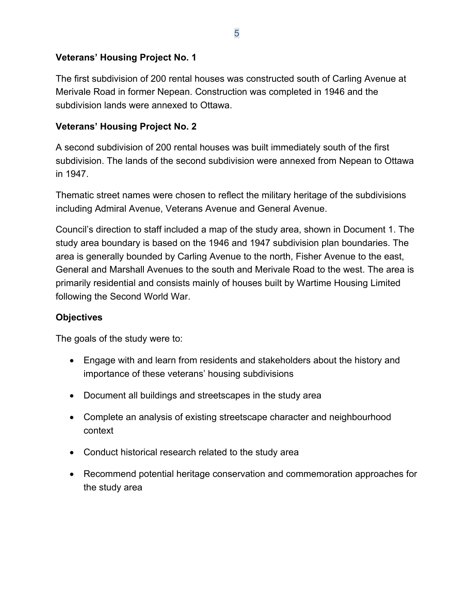## **Veterans' Housing Project No. 1**

The first subdivision of 200 rental houses was constructed south of Carling Avenue at Merivale Road in former Nepean. Construction was completed in 1946 and the subdivision lands were annexed to Ottawa.

#### **Veterans' Housing Project No. 2**

A second subdivision of 200 rental houses was built immediately south of the first subdivision. The lands of the second subdivision were annexed from Nepean to Ottawa in 1947.

Thematic street names were chosen to reflect the military heritage of the subdivisions including Admiral Avenue, Veterans Avenue and General Avenue.

Council's direction to staff included a map of the study area, shown in Document 1. The study area boundary is based on the 1946 and 1947 subdivision plan boundaries. The area is generally bounded by Carling Avenue to the north, Fisher Avenue to the east, General and Marshall Avenues to the south and Merivale Road to the west. The area is primarily residential and consists mainly of houses built by Wartime Housing Limited following the Second World War.

#### **Objectives**

The goals of the study were to:

- Engage with and learn from residents and stakeholders about the history and importance of these veterans' housing subdivisions
- Document all buildings and streetscapes in the study area
- Complete an analysis of existing streetscape character and neighbourhood context
- Conduct historical research related to the study area
- Recommend potential heritage conservation and commemoration approaches for the study area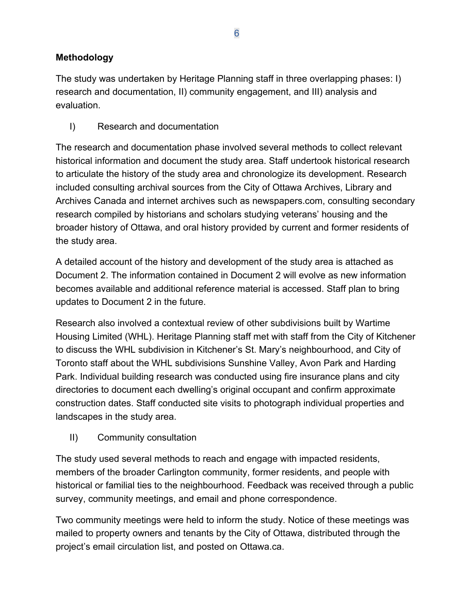# **Methodology**

The study was undertaken by Heritage Planning staff in three overlapping phases: I) research and documentation, II) community engagement, and III) analysis and evaluation.

I) Research and documentation

The research and documentation phase involved several methods to collect relevant historical information and document the study area. Staff undertook historical research to articulate the history of the study area and chronologize its development. Research included consulting archival sources from the City of Ottawa Archives, Library and Archives Canada and internet archives such as newspapers.com, consulting secondary research compiled by historians and scholars studying veterans' housing and the broader history of Ottawa, and oral history provided by current and former residents of the study area.

A detailed account of the history and development of the study area is attached as Document 2. The information contained in Document 2 will evolve as new information becomes available and additional reference material is accessed. Staff plan to bring updates to Document 2 in the future.

Research also involved a contextual review of other subdivisions built by Wartime Housing Limited (WHL). Heritage Planning staff met with staff from the City of Kitchener to discuss the WHL subdivision in Kitchener's St. Mary's neighbourhood, and City of Toronto staff about the WHL subdivisions Sunshine Valley, Avon Park and Harding Park. Individual building research was conducted using fire insurance plans and city directories to document each dwelling's original occupant and confirm approximate construction dates. Staff conducted site visits to photograph individual properties and landscapes in the study area.

II) Community consultation

The study used several methods to reach and engage with impacted residents, members of the broader Carlington community, former residents, and people with historical or familial ties to the neighbourhood. Feedback was received through a public survey, community meetings, and email and phone correspondence.

Two community meetings were held to inform the study. Notice of these meetings was mailed to property owners and tenants by the City of Ottawa, distributed through the project's email circulation list, and posted on Ottawa.ca.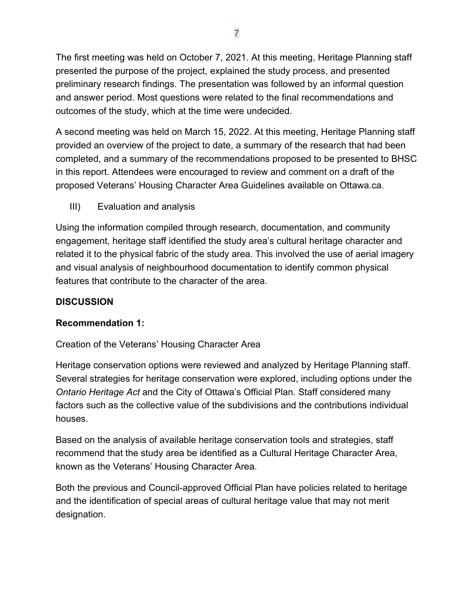The first meeting was held on October 7, 2021. At this meeting, Heritage Planning staff presented the purpose of the project, explained the study process, and presented preliminary research findings. The presentation was followed by an informal question and answer period. Most questions were related to the final recommendations and outcomes of the study, which at the time were undecided.

A second meeting was held on March 15, 2022. At this meeting, Heritage Planning staff provided an overview of the project to date, a summary of the research that had been completed, and a summary of the recommendations proposed to be presented to BHSC in this report. Attendees were encouraged to review and comment on a draft of the proposed Veterans' Housing Character Area Guidelines available on Ottawa.ca.

III) Evaluation and analysis

Using the information compiled through research, documentation, and community engagement, heritage staff identified the study area's cultural heritage character and related it to the physical fabric of the study area. This involved the use of aerial imagery and visual analysis of neighbourhood documentation to identify common physical features that contribute to the character of the area.

## **DISCUSSION**

## **Recommendation 1:**

## Creation of the Veterans' Housing Character Area

Heritage conservation options were reviewed and analyzed by Heritage Planning staff. Several strategies for heritage conservation were explored, including options under the *Ontario Heritage Act* and the City of Ottawa's Official Plan. Staff considered many factors such as the collective value of the subdivisions and the contributions individual houses.

Based on the analysis of available heritage conservation tools and strategies, staff recommend that the study area be identified as a Cultural Heritage Character Area, known as the Veterans' Housing Character Area.

Both the previous and Council-approved Official Plan have policies related to heritage and the identification of special areas of cultural heritage value that may not merit designation.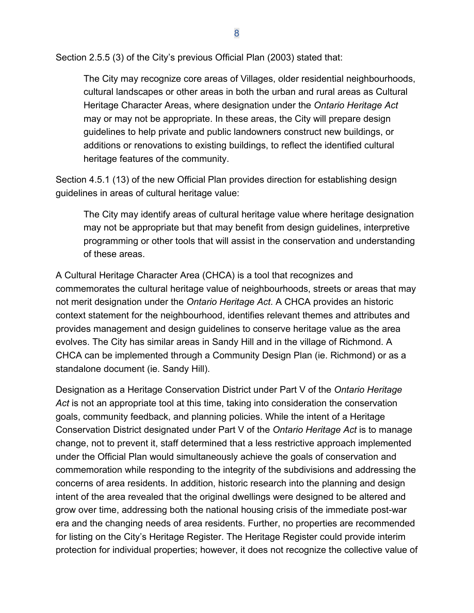Section 2.5.5 (3) of the City's previous Official Plan (2003) stated that:

The City may recognize core areas of Villages, older residential neighbourhoods, cultural landscapes or other areas in both the urban and rural areas as Cultural Heritage Character Areas, where designation under the *Ontario Heritage Act* may or may not be appropriate. In these areas, the City will prepare design guidelines to help private and public landowners construct new buildings, or additions or renovations to existing buildings, to reflect the identified cultural heritage features of the community.

Section 4.5.1 (13) of the new Official Plan provides direction for establishing design guidelines in areas of cultural heritage value:

The City may identify areas of cultural heritage value where heritage designation may not be appropriate but that may benefit from design guidelines, interpretive programming or other tools that will assist in the conservation and understanding of these areas.

A Cultural Heritage Character Area (CHCA) is a tool that recognizes and commemorates the cultural heritage value of neighbourhoods, streets or areas that may not merit designation under the *Ontario Heritage Act*. A CHCA provides an historic context statement for the neighbourhood, identifies relevant themes and attributes and provides management and design guidelines to conserve heritage value as the area evolves. The City has similar areas in Sandy Hill and in the village of Richmond. A CHCA can be implemented through a Community Design Plan (ie. Richmond) or as a standalone document (ie. Sandy Hill).

Designation as a Heritage Conservation District under Part V of the *Ontario Heritage Act* is not an appropriate tool at this time, taking into consideration the conservation goals, community feedback, and planning policies. While the intent of a Heritage Conservation District designated under Part V of the *Ontario Heritage Act* is to manage change, not to prevent it, staff determined that a less restrictive approach implemented under the Official Plan would simultaneously achieve the goals of conservation and commemoration while responding to the integrity of the subdivisions and addressing the concerns of area residents. In addition, historic research into the planning and design intent of the area revealed that the original dwellings were designed to be altered and grow over time, addressing both the national housing crisis of the immediate post-war era and the changing needs of area residents. Further, no properties are recommended for listing on the City's Heritage Register. The Heritage Register could provide interim protection for individual properties; however, it does not recognize the collective value of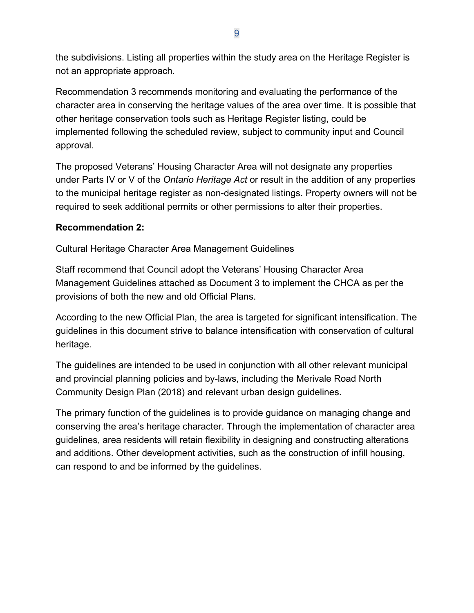the subdivisions. Listing all properties within the study area on the Heritage Register is not an appropriate approach.

Recommendation 3 recommends monitoring and evaluating the performance of the character area in conserving the heritage values of the area over time. It is possible that other heritage conservation tools such as Heritage Register listing, could be implemented following the scheduled review, subject to community input and Council approval.

The proposed Veterans' Housing Character Area will not designate any properties under Parts IV or V of the *Ontario Heritage Act* or result in the addition of any properties to the municipal heritage register as non-designated listings. Property owners will not be required to seek additional permits or other permissions to alter their properties.

## **Recommendation 2:**

Cultural Heritage Character Area Management Guidelines

Staff recommend that Council adopt the Veterans' Housing Character Area Management Guidelines attached as Document 3 to implement the CHCA as per the provisions of both the new and old Official Plans.

According to the new Official Plan, the area is targeted for significant intensification. The guidelines in this document strive to balance intensification with conservation of cultural heritage.

The guidelines are intended to be used in conjunction with all other relevant municipal and provincial planning policies and by-laws, including the Merivale Road North Community Design Plan (2018) and relevant urban design guidelines.

The primary function of the guidelines is to provide guidance on managing change and conserving the area's heritage character. Through the implementation of character area guidelines, area residents will retain flexibility in designing and constructing alterations and additions. Other development activities, such as the construction of infill housing, can respond to and be informed by the guidelines.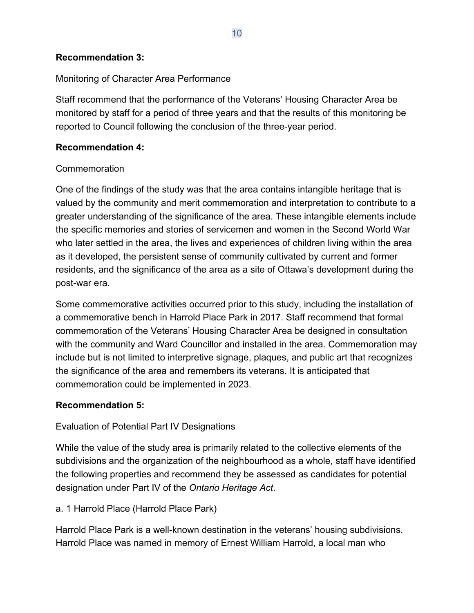#### **Recommendation 3:**

#### Monitoring of Character Area Performance

Staff recommend that the performance of the Veterans' Housing Character Area be monitored by staff for a period of three years and that the results of this monitoring be reported to Council following the conclusion of the three-year period.

#### **Recommendation 4:**

#### Commemoration

One of the findings of the study was that the area contains intangible heritage that is valued by the community and merit commemoration and interpretation to contribute to a greater understanding of the significance of the area. These intangible elements include the specific memories and stories of servicemen and women in the Second World War who later settled in the area, the lives and experiences of children living within the area as it developed, the persistent sense of community cultivated by current and former residents, and the significance of the area as a site of Ottawa's development during the post-war era.

Some commemorative activities occurred prior to this study, including the installation of a commemorative bench in Harrold Place Park in 2017. Staff recommend that formal commemoration of the Veterans' Housing Character Area be designed in consultation with the community and Ward Councillor and installed in the area. Commemoration may include but is not limited to interpretive signage, plaques, and public art that recognizes the significance of the area and remembers its veterans. It is anticipated that commemoration could be implemented in 2023.

## **Recommendation 5:**

## Evaluation of Potential Part IV Designations

While the value of the study area is primarily related to the collective elements of the subdivisions and the organization of the neighbourhood as a whole, staff have identified the following properties and recommend they be assessed as candidates for potential designation under Part IV of the *Ontario Heritage Act*.

## a. 1 Harrold Place (Harrold Place Park)

Harrold Place Park is a well-known destination in the veterans' housing subdivisions. Harrold Place was named in memory of Ernest William Harrold, a local man who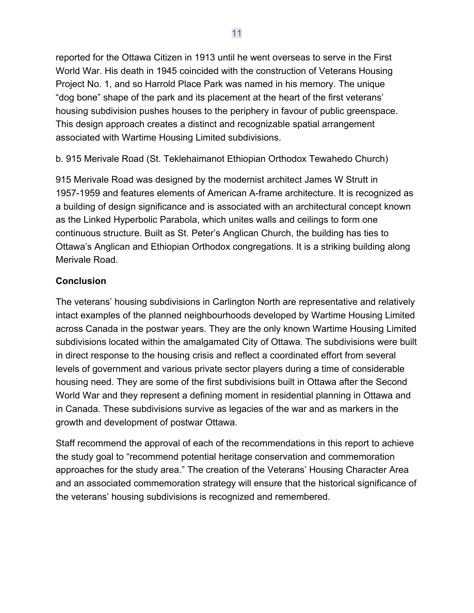reported for the Ottawa Citizen in 1913 until he went overseas to serve in the First World War. His death in 1945 coincided with the construction of Veterans Housing Project No. 1, and so Harrold Place Park was named in his memory. The unique "dog bone" shape of the park and its placement at the heart of the first veterans' housing subdivision pushes houses to the periphery in favour of public greenspace. This design approach creates a distinct and recognizable spatial arrangement associated with Wartime Housing Limited subdivisions.

b. 915 Merivale Road (St. Teklehaimanot Ethiopian Orthodox Tewahedo Church)

915 Merivale Road was designed by the modernist architect James W Strutt in 1957-1959 and features elements of American A-frame architecture. It is recognized as a building of design significance and is associated with an architectural concept known as the Linked Hyperbolic Parabola, which unites walls and ceilings to form one continuous structure. Built as St. Peter's Anglican Church, the building has ties to Ottawa's Anglican and Ethiopian Orthodox congregations. It is a striking building along Merivale Road.

## **Conclusion**

The veterans' housing subdivisions in Carlington North are representative and relatively intact examples of the planned neighbourhoods developed by Wartime Housing Limited across Canada in the postwar years. They are the only known Wartime Housing Limited subdivisions located within the amalgamated City of Ottawa. The subdivisions were built in direct response to the housing crisis and reflect a coordinated effort from several levels of government and various private sector players during a time of considerable housing need. They are some of the first subdivisions built in Ottawa after the Second World War and they represent a defining moment in residential planning in Ottawa and in Canada. These subdivisions survive as legacies of the war and as markers in the growth and development of postwar Ottawa.

Staff recommend the approval of each of the recommendations in this report to achieve the study goal to "recommend potential heritage conservation and commemoration approaches for the study area." The creation of the Veterans' Housing Character Area and an associated commemoration strategy will ensure that the historical significance of the veterans' housing subdivisions is recognized and remembered.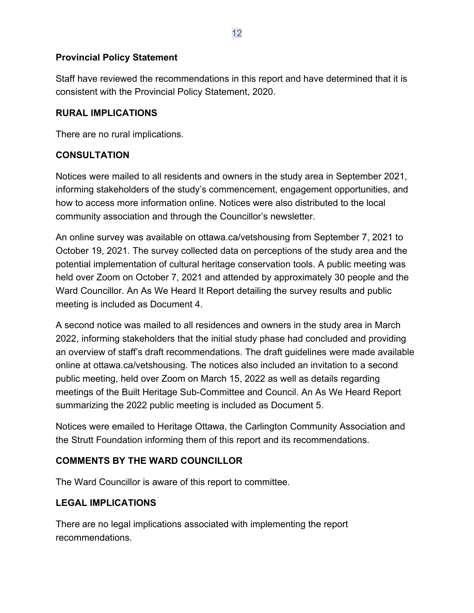## **Provincial Policy Statement**

Staff have reviewed the recommendations in this report and have determined that it is consistent with the Provincial Policy Statement, 2020.

#### **RURAL IMPLICATIONS**

There are no rural implications.

## **CONSULTATION**

Notices were mailed to all residents and owners in the study area in September 2021, informing stakeholders of the study's commencement, engagement opportunities, and how to access more information online. Notices were also distributed to the local community association and through the Councillor's newsletter.

An online survey was available on ottawa.ca/vetshousing from September 7, 2021 to October 19, 2021. The survey collected data on perceptions of the study area and the potential implementation of cultural heritage conservation tools. A public meeting was held over Zoom on October 7, 2021 and attended by approximately 30 people and the Ward Councillor. An As We Heard It Report detailing the survey results and public meeting is included as Document 4.

A second notice was mailed to all residences and owners in the study area in March 2022, informing stakeholders that the initial study phase had concluded and providing an overview of staff's draft recommendations. The draft guidelines were made available online at ottawa.ca/vetshousing. The notices also included an invitation to a second public meeting, held over Zoom on March 15, 2022 as well as details regarding meetings of the Built Heritage Sub-Committee and Council. An As We Heard Report summarizing the 2022 public meeting is included as Document 5.

Notices were emailed to Heritage Ottawa, the Carlington Community Association and the Strutt Foundation informing them of this report and its recommendations.

## **COMMENTS BY THE WARD COUNCILLOR**

The Ward Councillor is aware of this report to committee.

## **LEGAL IMPLICATIONS**

There are no legal implications associated with implementing the report recommendations.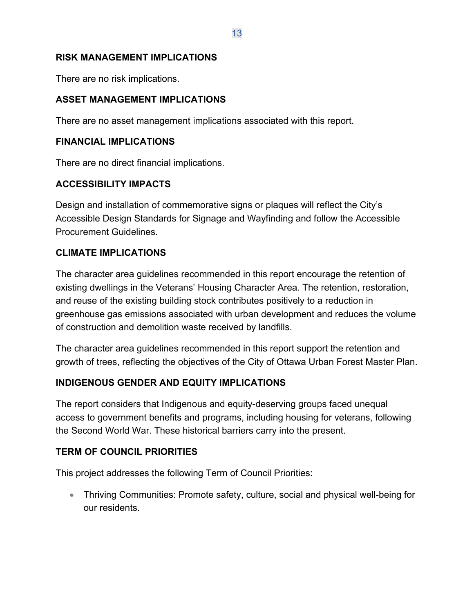#### **RISK MANAGEMENT IMPLICATIONS**

There are no risk implications.

#### **ASSET MANAGEMENT IMPLICATIONS**

There are no asset management implications associated with this report.

#### **FINANCIAL IMPLICATIONS**

There are no direct financial implications.

## **ACCESSIBILITY IMPACTS**

Design and installation of commemorative signs or plaques will reflect the City's Accessible Design Standards for Signage and Wayfinding and follow the Accessible Procurement Guidelines.

## **CLIMATE IMPLICATIONS**

The character area guidelines recommended in this report encourage the retention of existing dwellings in the Veterans' Housing Character Area. The retention, restoration, and reuse of the existing building stock contributes positively to a reduction in greenhouse gas emissions associated with urban development and reduces the volume of construction and demolition waste received by landfills.

The character area guidelines recommended in this report support the retention and growth of trees, reflecting the objectives of the City of Ottawa Urban Forest Master Plan.

## **INDIGENOUS GENDER AND EQUITY IMPLICATIONS**

The report considers that Indigenous and equity-deserving groups faced unequal access to government benefits and programs, including housing for veterans, following the Second World War. These historical barriers carry into the present.

## **TERM OF COUNCIL PRIORITIES**

This project addresses the following Term of Council Priorities:

• Thriving Communities: Promote safety, culture, social and physical well-being for our residents.